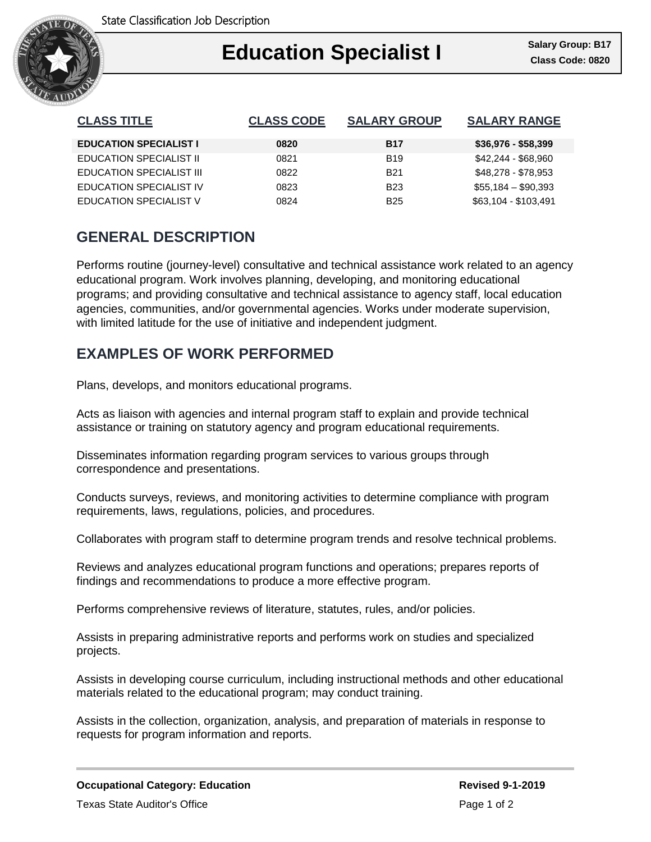

# Ι **Education Specialist I Class Code: 0820**

| <b>CLASS TITLE</b>              | <b>CLASS CODE</b> | <b>SALARY GROUP</b> | <b>SALARY RANGE</b>  |
|---------------------------------|-------------------|---------------------|----------------------|
| <b>EDUCATION SPECIALIST I</b>   | 0820              | <b>B17</b>          | $$36,976 - $58,399$  |
| <b>EDUCATION SPECIALIST II</b>  | 0821              | <b>B19</b>          | \$42,244 - \$68,960  |
| <b>EDUCATION SPECIALIST III</b> | 0822              | <b>B21</b>          | \$48,278 - \$78,953  |
| <b>EDUCATION SPECIALIST IV</b>  | 0823              | <b>B23</b>          | $$55,184 - $90,393$  |
| <b>EDUCATION SPECIALIST V</b>   | 0824              | <b>B25</b>          | \$63,104 - \$103,491 |

# **GENERAL DESCRIPTION**

Performs routine (journey-level) consultative and technical assistance work related to an agency educational program. Work involves planning, developing, and monitoring educational programs; and providing consultative and technical assistance to agency staff, local education agencies, communities, and/or governmental agencies. Works under moderate supervision, with limited latitude for the use of initiative and independent judgment.

### **EXAMPLES OF WORK PERFORMED**

Plans, develops, and monitors educational programs.

Acts as liaison with agencies and internal program staff to explain and provide technical assistance or training on statutory agency and program educational requirements.

Disseminates information regarding program services to various groups through correspondence and presentations.

Conducts surveys, reviews, and monitoring activities to determine compliance with program requirements, laws, regulations, policies, and procedures.

Collaborates with program staff to determine program trends and resolve technical problems.

Reviews and analyzes educational program functions and operations; prepares reports of findings and recommendations to produce a more effective program.

Performs comprehensive reviews of literature, statutes, rules, and/or policies.

Assists in preparing administrative reports and performs work on studies and specialized projects.

Assists in developing course curriculum, including instructional methods and other educational materials related to the educational program; may conduct training.

Assists in the collection, organization, analysis, and preparation of materials in response to requests for program information and reports.